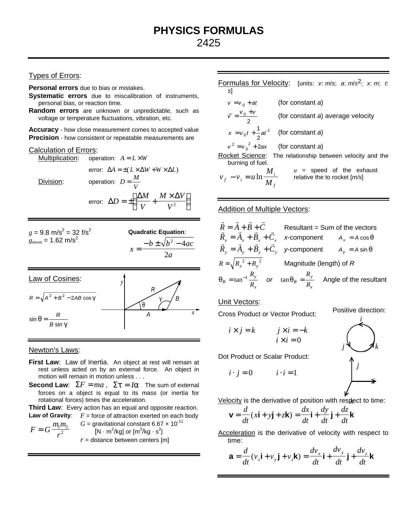# Types of Errors:

**Personal errors** due to bias or mistakes.

**Systematic errors** due to miscalibration of instruments, personal bias, or reaction time.

**Random errors** are unknown or unpredictable, such as voltage or temperature fluctuations, vibration, etc.

**Accuracy** - how close measurement comes to accepted value **Precision** - how consistent or repeatable measurements are

#### Calculation of Errors:

Multiplication: operation:  $A = L \times W$ error:  $\Delta A = \pm (L \times \Delta W + W \times \Delta L)$  $Division:$  operation:  $D = \frac{M}{M}$ *V* =

error: 
$$
\Delta D = \pm \left( \frac{\Delta M}{V} + \frac{M \times \Delta V}{V^2} \right)
$$

 $g = 9.8 \text{ m/s}^2 = 32 \text{ f/s}^2$  $g_{\rm moon} = 1.62 \text{ m/s}^2$ 

**Quadratic Equation:**  

$$
x = \frac{-b \pm \sqrt{b^2 - 4ac}}{2a}
$$

Law of Cosines:  
\n
$$
R = \sqrt{A^2 + B^2 - 2AB \cos \gamma}
$$
\n
$$
sin θ = \frac{R}{B \sin \gamma}
$$
\n
$$
A
$$

#### Newton's Laws:

- First Law: Law of Inertia. An object at rest will remain at rest unless acted on by an external force. An object in motion will remain in motion unless . . .
- **Second Law:**  $\Sigma F = ma$ ,  $\Sigma t = Ia$  The sum of external forces on a object is equal to its mass (or inertia for rotational forces) times the acceleration.

**Third Law:** Every action has an equal and opposite reaction. **Law of Gravity:**  $F =$  force of attraction exerted on each body

$$
F = G \frac{m_1 m_2}{r^2}
$$
 
$$
G = \text{gravitational constant } 6.67 \times 10^{-11}
$$
  
[N · m<sup>2</sup>/kg] or [m<sup>3</sup>/kg · s<sup>2</sup>]  
r = distance between centers [m]

Formulas for Velocity: [units: *v*: *m*/*s*; *a*: *m*/*s* 2; *x*: *m*; *t*: *s*]  $v = v_0 + at$ (for constant *a*)  $\overline{v} = \frac{v_0 + v_0}{v_0 + v_0}$ 2 (for constant *a*) average velocity  $x = v_0 t + \frac{1}{2} a t^2$ 2 (for constant *a*)  $v^2 = v_0^2 + 2ax$ (for constant *a*) Rocket Science: The relationship between velocity and the burning of fuel.  $v_i - v_i = u$ *M*  $v_i - v_i = u \ln \frac{m}{M}$ *i f u* = speed of the exhaust relative the to rocket [*m/s*]

#### Addition of Multiple Vectors:

$$
\vec{R} = \vec{A} + \vec{B} + \vec{C}
$$
 Resultant = Sum of the vectors  
\n
$$
\vec{R}_x = \vec{A}_x + \vec{B}_x + \vec{C}_x
$$
 x-component  $A_x = A \cos \theta$   
\n
$$
\vec{R}_y = \vec{A}_y + \vec{B}_y + \vec{C}_y
$$
 y-component  $A_y = A \sin \theta$   
\n
$$
R = \sqrt{R_x^2 + R_y^2}
$$
 Magnitude (length) of R  
\n
$$
q_R = \tan^{-1} \frac{R_y}{R_x}
$$
 or  $\tan q_R = \frac{R_y}{R_x}$  Angle of the resultant

### Unit Vectors:

Cross Product or Vector Product:

Positive direction:

$$
i \times j = k \qquad j \times i = -k
$$
  

$$
i \times i = 0
$$

Dot Product or Scalar Product:

 $i \cdot j = 0$   $i \cdot i = 1$ 



Velocity is the derivative of position with respect to time:

$$
\mathbf{v} = \frac{d}{dt}(x\mathbf{i} + y\mathbf{j} + z\mathbf{k}) = \frac{dx}{dt}\mathbf{i} + \frac{dy}{dt}\mathbf{j} + \frac{dz}{dt}\mathbf{k}
$$

Acceleration is the derivative of velocity with respect to time:

$$
\mathbf{a} = \frac{d}{dt}(v_x \mathbf{i} + v_y \mathbf{j} + v_z \mathbf{k}) = \frac{dv_x}{dt} \mathbf{i} + \frac{dv_y}{dt} \mathbf{j} + \frac{dv_z}{dt} \mathbf{k}
$$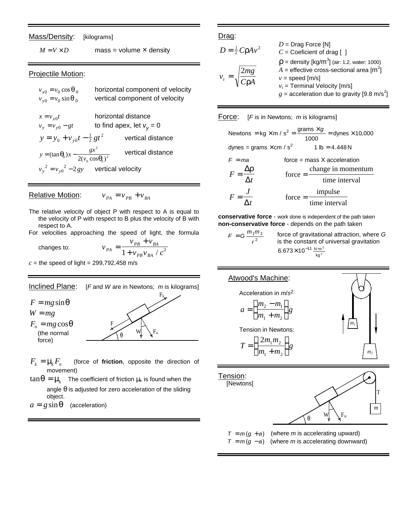Mass/Density: [kilograms]

 $M = V \times D$  mass = volume **x** density

### Projectile Motion:

| $v_{r0} = v_0 \cos q_0$<br>$v_{v0} = v_0 \sin \theta_0$              | horizontal component of velocity<br>vertical component of velocity |
|----------------------------------------------------------------------|--------------------------------------------------------------------|
| $x = v_{x0}t$<br>$v_{y} = v_{y0} - gt$                               | horizontal distance<br>to find apex, let $v_v = 0$                 |
| $y = y_0 + v_{v0}t - \frac{1}{2}gt^2$                                | vertical distance                                                  |
| $y = (\tan \mathbf{q}_0)x - \frac{gx^2}{2(v_0 \cos \mathbf{q}_0)^2}$ | vertical distance                                                  |
| $v_y^2 = v_{y0}^2 - 2gy$ vertical velocity                           |                                                                    |

# **Relative Motion:**  $v_{PA} = v_{PB} + v_{BA}$

- The relative velocity of object P with respect to A is equal to the velocity of P with respect to B plus the velocity of B with respect to A.
- For velocities approaching the speed of light, the formula

 $v_{PB} + v$ 

 $PB$  <sup>*V*</sup>  $BA$ 

+

changes to:

- $v_{PA}$ <sup>-</sup> 1 +  $v_{PB}v_{BA}$  / *c PB BA* =  $1 + v_{PB}v_{BA}$  /  $c^2$
- $c =$  the speed of light = 299,792,458 m/s



- $F_k = m_k F_n$  (force of **friction**, opposite the direction of movement)
- $\tan\bm{q} = \bm{m}_{k}$  The coefficient of friction  $\bm{m}_{k}$  is found when the angle *q* is adjusted for zero acceleration of the sliding object.
- $a = g \sin q$  (acceleration)

### Drag:

$$
D = \frac{1}{2} C r A v^2
$$
  
\n
$$
D = \text{Diag Force [N]}
$$
  
\n
$$
C = \text{Coefficient of drag [ ]}
$$
  
\n
$$
r = \text{density [kg/m3] (air: 1.2, water: 1000)}
$$
  
\n
$$
v_t = \sqrt{\frac{2mg}{C r A}}
$$
  
\n
$$
v_t = \text{General [m/s]}
$$
  
\n
$$
v_t = \text{Terminal Velocity [m/s]}
$$
  
\n
$$
g = \text{acceleration due to gravity [9.8 m/s2]}
$$

### Force: [*F* is in Newtons; *m* is kilograms]

|                                            |           | Newtons = kg $\times$ m / s <sup>2</sup> = $\frac{\text{grams} \times g}{\text{mass} \times g}$ = dynes $\times$ 10,000<br>1000 |
|--------------------------------------------|-----------|---------------------------------------------------------------------------------------------------------------------------------|
| dynes = grams $\times$ cm / s <sup>2</sup> |           | $1 lb = 4.448 N$                                                                                                                |
| $F = ma$                                   |           | $force = mass X acceleration$                                                                                                   |
| $F = \frac{\Delta r}{\Delta t}$            | $force =$ | change in momentum                                                                                                              |
|                                            |           | time interval                                                                                                                   |
|                                            | force $=$ | impulse                                                                                                                         |
|                                            |           | $\frac{1}{\text{time interval}}$                                                                                                |

**conservative force** - work done is independent of the path taken **non-conservative force** - depends on the path taken

$$
F = G \frac{m_1 m_2}{r^2}
$$
 force of gravitational attraction, where G  
is the constant of universal gravitation  

$$
6.673 \times 10^{-11} \frac{N \cdot m^2}{kg^2}
$$

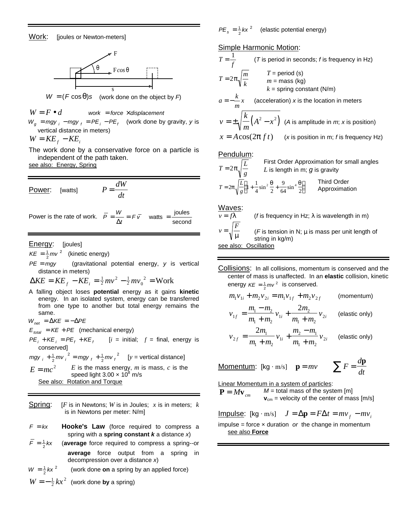

$$
W = (F \cos \theta)s
$$
 (work done on the object by F)

 $W = F \bullet d$  *work* = *force*  $\times$  *displacement*  $W_g$  = *mgy*  $_i$  – *mgy*  $_f$  =  $PE_i$  –  $PE_f$  (work done by gravity, *y* is vertical distance in meters)  $W = KE<sub>f</sub> - KE<sub>i</sub>$ 

The work done by a conservative force on a particle is independent of the path taken.

see also: Energy, Spring

Power: [watts] 
$$
P = \frac{dW}{dt}
$$

Power is the rate of work. 
$$
\overline{P} = \frac{W}{\Delta t} = F\overline{v}
$$
 watts =  $\frac{\text{joules}}{\text{second}}$ 

**Energy:** [joules]

 $KE = \frac{1}{2}$  mv <sup>2</sup> (kinetic energy)

*PE* = *mgy* (gravitational potential energy, *y* is vertical distance in meters)

 $\Delta KE = KE_f - KE_i = \frac{1}{2}mv^2 - \frac{1}{2}mv_0^2 = \text{Work}$ 

A falling object loses **potential** energy as it gains **kinetic** energy. In an isolated system, energy can be transferred from one type to another but total energy remains the same.

 $W_{net} = \Delta KE = -\Delta PE$ 

 $E_{total} = KE + PE$  (mechanical energy)

 $PE_i + KE_i = PE_f + KE_f$  $[i = initial; f = final, energy is$ conserved]

 $mgy$ <sub>i</sub> +  $\frac{1}{2}mv$ <sub>i</sub><sup>2</sup> =  $mgy$ <sub>f</sub> +  $\frac{1}{2}mv$ <sub>i</sub> 2  $2 - \frac{1}{2}$ 2  $2^2$  [*y* = vertical distance]

 $E = mc^2$  $E$  is the mass energy,  $m$  is mass,  $c$  is the speed light  $3.00 \times 10^8$  m/s See also: Rotation and Torque

- Spring: [*F* is in Newtons; *W* is in Joules; *x* is in meters; *k* is in Newtons per meter: N/m]
- $F = kx$  **Hooke's Law** (force required to compress a spring with a **spring constant** *k* a distance *x*)
- $\overline{F} = \frac{1}{2}kx$ (**average** force required to compress a spring--or **average** force output from a spring in decompression over a distance *x*)

$$
W = \frac{1}{2}kx^2
$$
 (work done on a spring by an applied force)  

$$
W = -\frac{1}{2}kx^2
$$
 (work done by a spring)

 $PE_s = \frac{1}{2}kx$ 2 2 (elastic potential energy)

**Simple Harmonic Motion:** 

$$
T = \frac{1}{f}
$$
 (T is period in seconds; f is frequency in Hz)  
\n
$$
T = 2p\sqrt{\frac{m}{k}}
$$
 T = period (s)  
\n
$$
m = \text{mass (kg)}
$$
  
\n
$$
k = \text{spring constant (N/m)}
$$
  
\n
$$
a = -\frac{k}{m}x
$$
 (acceleration) x is the location in meters  
\n
$$
v = \pm \sqrt{\frac{k}{m}(A^2 - x^2)}
$$
 (A is amplitude in *m*; x is position)  
\n
$$
x = A\cos(2p ft)
$$
 (x is position in m; f is frequency Hz)  
\nPendulum:

$$
T = 2p\sqrt{\frac{L}{g}}
$$
 First Order Approximation for small angles  
L is length in m; g is gravity  

$$
T = 2p\sqrt{\frac{L}{g}}\left(1 + \frac{1}{4}\sin^2{\frac{q}{2}} + \frac{9}{64}\sin^4{\frac{q}{2}}\right)
$$
 Third Order  
Approximation

Waves:

*v*

$$
\overline{v = fI}
$$
 (f is frequency in Hz; λ is wavelength in m)  

$$
v = \sqrt{\frac{F}{m}}
$$
 (F is tension in N; μ is mass per unit length of  
string in kg/m)  
see also: Oscillation

Collisions: In all collisions, momentum is conserved and the center of mass is unaffected. In an **elastic** collision, kinetic energy  $KE = \frac{1}{2}mv^2$  is conserved.

$$
m_1v_{1i} + m_2v_{2i} = m_1v_{1f} + m_2v_{2f}
$$
 (momentum)

$$
v_{1f} = \frac{m_1 - m_2}{m_1 + m_2} v_{1i} + \frac{2m_2}{m_1 + m_2} v_{2i}
$$
 (elastic only)

$$
v_{2f} = \frac{2m_1}{m_1 + m_2} v_{1i} + \frac{m_2 - m_1}{m_1 + m_2} v_{2i}
$$
 (elastic only)

Momentum: [kg·m/s] 
$$
\mathbf{p} = mv
$$
  $\sum F = \frac{d\mathbf{p}}{dt}$ 

Linear Momentum in a system of particles:

 $P = M v_{cm}$  $M =$  total mass of the system [m]  $v_{cm}$  = velocity of the center of mass [m/s]

 $I = \Delta p = F \Delta t = m v_f - m v_i$ impulse = force × duration *or* the change in momentum see also **Force**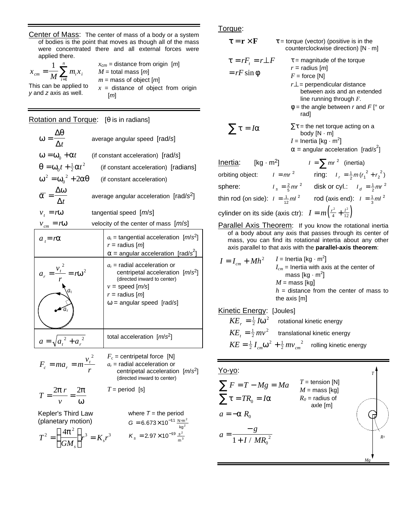Center of Mass: The center of mass of a body or a system of bodies is the point that moves as though all of the mass were concentrated there and all external forces were applied there.

*x*  $m_{cm} = \frac{1}{M} \sum_{i=1}^{M} m_i x_i$ *n* =  $\frac{1}{M}\sum_{i=1}^n$ 1

This can be applied to *y* and *z* axis as well.

 $x_{cm}$  = distance from origin  $[m]$  $M =$  total mass  $[m]$ *m* = mass of object [*m*]  $x =$  distance of object from origin [*m*]

# Rotation and Torque: [*q* is in radians]

| $w = \frac{\Delta q}{\Delta t}$            | average angular speed [rad/s]                                                                                                                                                     |  |  |
|--------------------------------------------|-----------------------------------------------------------------------------------------------------------------------------------------------------------------------------------|--|--|
|                                            | $\mathbf{W} = \mathbf{W}_0 + \mathbf{A}t$ (if constant acceleration) [rad/s]                                                                                                      |  |  |
|                                            | $\mathbf{q} = \mathbf{w}_0 t + \frac{1}{2} \mathbf{a} t^2$ (if constant acceleration) [radians]                                                                                   |  |  |
|                                            | $\mathbf{w}^2 = \mathbf{w}_0^2 + 2a\mathbf{q}$ (if constant acceleration)                                                                                                         |  |  |
| $\overline{a} = \frac{\Delta w}{\Delta t}$ | average angular acceleration $[rad/s^2]$                                                                                                                                          |  |  |
| $v_t = rW$                                 | tangential speed $[m/s]$                                                                                                                                                          |  |  |
| $v_{cm} = rW$                              | velocity of the center of mass $[m/s]$                                                                                                                                            |  |  |
| $at = ra$                                  | $a_t$ = tangential acceleration $[m/s^2]$<br>$r =$ radius $[m]$<br>$a =$ angular acceleration [rad/s <sup>2</sup> ]                                                               |  |  |
| $a_r = \frac{v_t^2}{r} = r w^2$<br>a.      | $a_r$ = radial acceleration or<br>centripetal acceleration $[m/s^2]$<br>(directed inward to center)<br>$v =$ speed [ $m/s$ ]<br>$r =$ radius $[m]$<br>$w =$ angular speed [rad/s] |  |  |
|                                            | total accoloration [m/o2]                                                                                                                                                         |  |  |

$$
a = \sqrt{a_t^2 + a_r^2}
$$
  
\n
$$
F_c = ma_r = m \frac{v_t^2}{r}
$$
  
\n
$$
F_c = \frac{\text{centripetal force [N]}}{\text{et al-} ar}
$$
  
\n
$$
a_r = \frac{\text{radial acceleration}}{\text{centripetal acceleration}}
$$

$$
T = \frac{2p r}{v} = \frac{2p}{w}
$$

Kepler's Third Law (planetary motion)

$$
T^{2} = \left(\frac{4p^{2}}{GM_{s}}\right)r^{3} = K_{s}r^{3} \qquad \kappa
$$

total acceleration [*m*/*s* 2 ]

centripetal acceleration [*m*/*s* 2 ] (directed inward to center)

$$
T = period [s]
$$

where  $T =$  the period  $G = 6.673 \times 10^{-11} \frac{N \cdot m}{n^2}$ kg 2 2  $K_s = 2.97 \times 10^{-19} \frac{s^2}{m^3}$  $m<sup>3</sup>$ 

## Torque:

 $\tau = \mathbf{r} \times \mathbf{F}$   $\tau = \text{torque}$  (vector) (positive is in the counterclockwise direction) [N · m]  $t = rF_t = r\bot F$  $=$  *rF* sin **f** *t* = magnitude of the torque  $r =$  radius  $[m]$  $F =$  force [N] *r*⊥ = perpendicular distance between axis and an extended line running through *F*.  $f =$  the angle between *r* and  $F$  [° or rad]  $\sum t = Ia$  $\Sigma t$  = the net torque acting on a body [N · m]  $I =$  Inertia [kg  $\cdot$  m<sup>2</sup>]  $a$  = angular acceleration [rad/ $s^2$ ]  $Inertia: [kg·m<sup>2</sup>]$   $I = \sum mr^2$  (inertia)</u> orbiting object:  $I = mr^2$  ring:  $I_r = \frac{1}{2}m(r_1^2 + r_2^2)$ sphere:  $I_s = \frac{2}{5} m r$ <sup>2</sup> disk or cyl.:  $I_d = \frac{1}{2} m r$ 2 thin rod (on side):  $I = \frac{1}{12}ml$ <sup>2</sup> rod (axis end):  $I = \frac{1}{3}ml$ 2 cylinder on its side (axis ctr):  $I = m\left(\frac{r^2}{4} + \frac{l^2}{12}\right)$ 4 T 12 Parallel Axis Theorem: If you know the rotational inertia

of a body about any axis that passes through its center of mass, you can find its rotational intertia about any other axis parallel to that axis with the **parallel-axis theorem**:

$$
I = I_{cm} + Mh^{2}
$$
  
\n
$$
I = \text{Inertia [kg} \cdot m^{2}]
$$
  
\n
$$
I_{cm} = \text{Inertia with axis at the center of mass [kg} \cdot m^{2}]
$$
  
\n
$$
M = \text{mass [kg]}
$$
  
\n
$$
h = \text{distance from the center of mass to the axis [m]}
$$

Kinetic Energy: [Joules]  $K\!E_{_r} = \frac{1}{2}\,I\pmb{w}^2\; \;\;\;$  rotational kinetic energy  $K\!E_{_t} = \frac{1}{2}mv^2$  translational kinetic energy  $KE = \frac{1}{2} \, I_{\rm \scriptscriptstyle cm}$   $\bm{w}^2 + \frac{1}{2} \, m v_{\rm \scriptscriptstyle cm}^2$   $\;$  rolling kinetic energy

$$
\frac{Y_0 - Y_0}{\sum F} = T - Mg = Ma
$$
  
\n
$$
\sum_{i=1}^{T} T_i = T - Mg
$$
  
\n
$$
M = \frac{M}{2}
$$
  
\n
$$
M = \frac{M}{2}
$$
  
\n
$$
R_0 = \text{radius of}
$$
  
\n
$$
R_0 = \text{radius of}
$$
  
\n
$$
M = \frac{M}{2}
$$
  
\n
$$
R_0 = \frac{M}{2}
$$
  
\n
$$
R_0 = \frac{M}{2}
$$
  
\n
$$
R_0 = \frac{M}{2}
$$
  
\n
$$
R_0 = \frac{M}{2}
$$